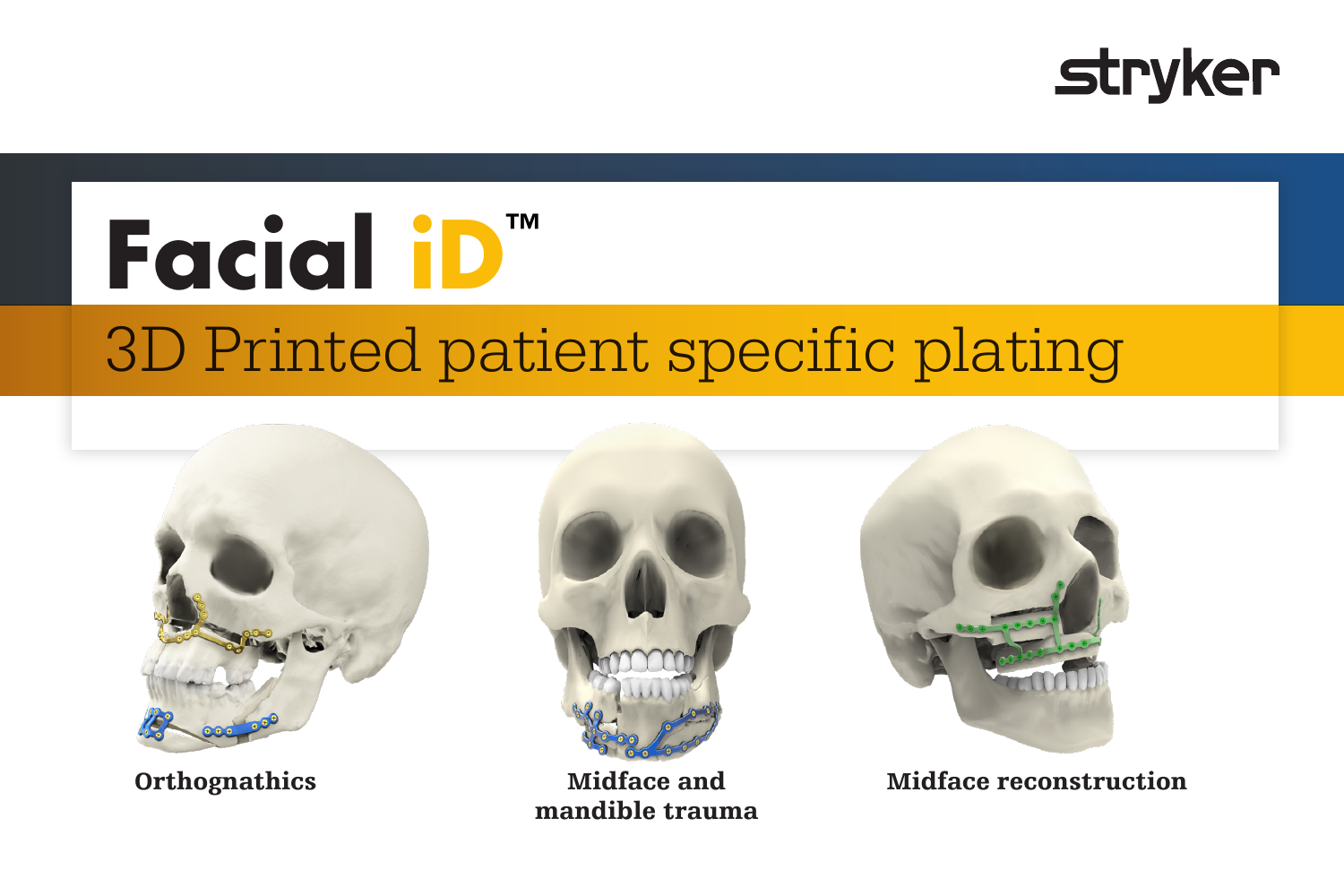

# **Facial iD™** 3D Printed patient specific plating





Midface and mandible trauma



Orthognathics Midface and Midface reconstruction